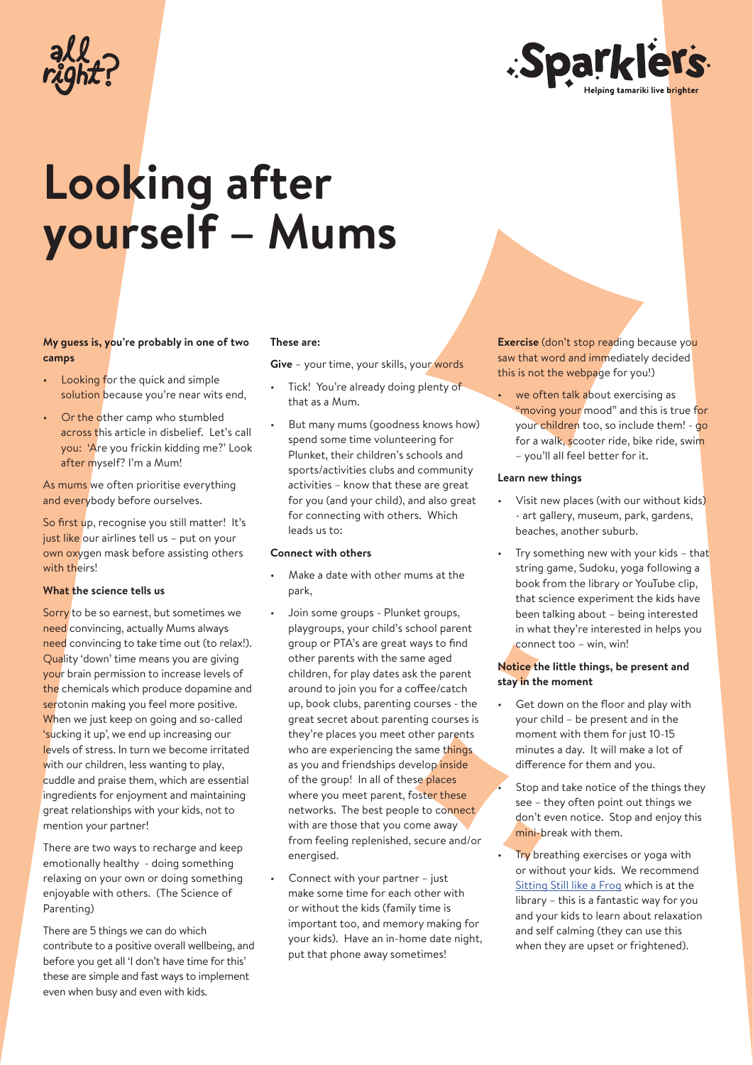

# **Looking after yourself – Mums**

## **My guess is, you're probably in one of two camps**

- Looking for the quick and simple solution because you're near wits end,
- Or the other camp who stumbled across this article in disbelief. Let's call you: 'Are you frickin kidding me?' Look after myself? I'm a Mum!

As mums we often prioritise everything and everybody before ourselves.

So first up, recognise you still matter! It's just like our airlines tell us – put on your own oxygen mask before assisting others with theirs!

## **What the science tells us**

Sorry to be so earnest, but sometimes we need convincing, actually Mums always need convincing to take time out (to relax!). Quality 'down' time means you are giving your brain permission to increase levels of the chemicals which produce dopamine and serotonin making you feel more positive. When we just keep on going and so-called 'sucking it up', we end up increasing our levels of stress. In turn we become irritated with our children, less wanting to play, cuddle and praise them, which are essential ingredients for enjoyment and maintaining great relationships with your kids, not to mention your partner!

There are two ways to recharge and keep emotionally healthy - doing something relaxing on your own or doing something enjoyable with others. (The Science of Parenting)

There are 5 things we can do which contribute to a positive overall wellbeing, and before you get all 'I don't have time for this' these are simple and fast ways to implement even when busy and even with kids.

#### **These are:**

**Give** – your time, your skills, your words

- Tick! You're already doing plenty of that as a Mum.
- But many mums (goodness knows how) spend some time volunteering for Plunket, their children's schools and sports/activities clubs and community activities – know that these are great for you (and your child), and also great for connecting with others. Which leads us to:

## **Connect with others**

- Make a date with other mums at the park,
- Join some groups Plunket groups, playgroups, your child's school parent group or PTA's are great ways to find other parents with the same aged children, for play dates ask the parent around to join you for a coffee/catch up, book clubs, parenting courses - the great secret about parenting courses is they're places you meet other parents who are experiencing the same things as you and friendships develop inside of the group! In all of these places where you meet parent, foster these networks. The best people to connect with are those that you come away from feeling replenished, secure and/or energised.
- Connect with your partner just make some time for each other with or without the kids (family time is important too, and memory making for your kids). Have an in-home date night, put that phone away sometimes!

**Exercise** (don't stop reading because you saw that word and immediately decided this is not the webpage for you!)

we often talk about exercising as "moving your mood" and this is true for your children too, so include them! - go for a walk, scooter ride, bike ride, swim – you'll all feel better for it.

#### **Learn new things**

- Visit new places (with our without kids) - art gallery, museum, park, gardens, beaches, another suburb.
- Try something new with your kids  $-$  that string game, Sudoku, yoga following a book from the library or YouTube clip, that science experiment the kids have been talking about – being interested in what they're interested in helps you connect too – win, win!

#### **Notice the little things, be present and stay in the moment**

Get down on the floor and play with your child – be present and in the moment with them for just 10-15 minutes a day. It will make a lot of difference for them and you.

Stop and take notice of the things they see – they often point out things we don't even notice. Stop and enjoy this mini-break with them.

Try breathing exercises or yoga with or without your kids. We recommend Sitting Still like a Frog which is at the library – this is a fantastic way for you and your kids to learn about relaxation and self calming (they can use this when they are upset or frightened).